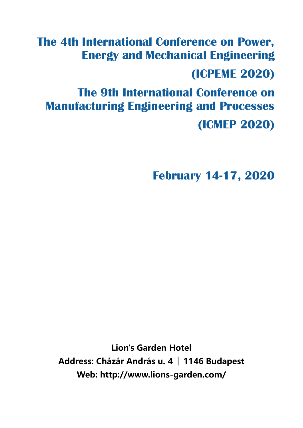# **The 4th International Conference on Power, Energy and Mechanical Engineering**

# **(ICPEME 2020)**

**The 9th International Conference on Manufacturing Engineering and Processes (ICMEP 2020)**

**February 14-17, 2020**

**Lion's Garden Hotel Address: Cházár András u. 4 │ 1146 Budapest Web: http://www.lions-garden.com/**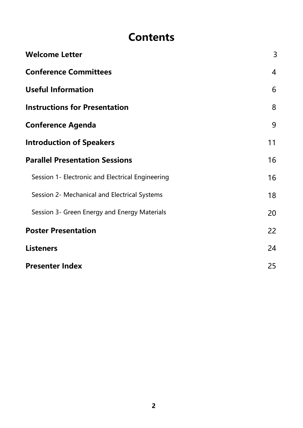# **Contents**

| <b>Welcome Letter</b>                            | 3              |
|--------------------------------------------------|----------------|
| <b>Conference Committees</b>                     | $\overline{4}$ |
| <b>Useful Information</b>                        | 6              |
| <b>Instructions for Presentation</b>             | 8              |
| <b>Conference Agenda</b>                         | 9              |
| <b>Introduction of Speakers</b>                  | 11             |
| <b>Parallel Presentation Sessions</b>            | 16             |
| Session 1- Electronic and Electrical Engineering | 16             |
| Session 2- Mechanical and Electrical Systems     | 18             |
| Session 3- Green Energy and Energy Materials     | 20             |
| <b>Poster Presentation</b>                       | 22             |
| <b>Listeners</b>                                 | 24             |
| <b>Presenter Index</b>                           |                |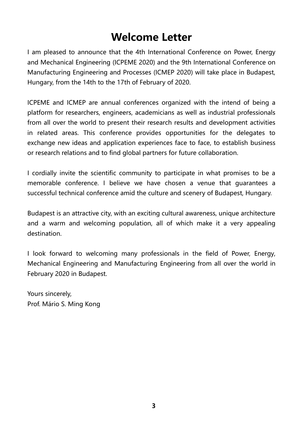# **Welcome Letter**

I am pleased to announce that the 4th International Conference on Power, Energy and Mechanical Engineering (ICPEME 2020) and the 9th International Conference on Manufacturing Engineering and Processes (ICMEP 2020) will take place in Budapest, Hungary, from the 14th to the 17th of February of 2020.

ICPEME and ICMEP are annual conferences organized with the intend of being a platform for researchers, engineers, academicians as well as industrial professionals from all over the world to present their research results and development activities in related areas. This conference provides opportunities for the delegates to exchange new ideas and application experiences face to face, to establish business or research relations and to find global partners for future collaboration.

I cordially invite the scientific community to participate in what promises to be a memorable conference. I believe we have chosen a venue that guarantees a successful technical conference amid the culture and scenery of Budapest, Hungary.

Budapest is an attractive city, with an exciting cultural awareness, unique architecture and a warm and welcoming population, all of which make it a very appealing destination.

I look forward to welcoming many professionals in the field of Power, Energy, Mechanical Engineering and Manufacturing Engineering from all over the world in February 2020 in Budapest.

Yours sincerely, Prof. Mário S. Ming Kong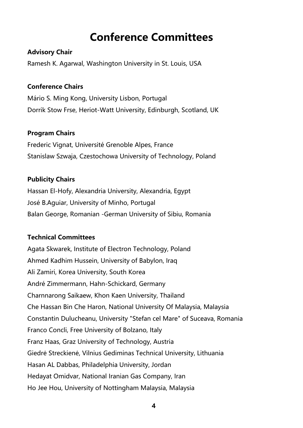# **Conference Committees**

#### **Advisory Chair**

Ramesh K. Agarwal, Washington University in St. Louis, USA

### **Conference Chairs**

Mário S. Ming Kong, University Lisbon, Portugal Dorrik Stow Frse, Heriot-Watt University, Edinburgh, Scotland, UK

### **Program Chairs**

Frederic Vignat, Université Grenoble Alpes, France Stanislaw Szwaja, Czestochowa University of Technology, Poland

### **Publicity Chairs**

Hassan El-Hofy, Alexandria University, Alexandria, Egypt José B.Aguiar, University of Minho, Portugal Balan George, Romanian -German University of Sibiu, Romania

### **Technical Committees**

Agata Skwarek, Institute of Electron Technology, Poland Ahmed Kadhim Hussein, University of Babylon, Iraq Ali Zamiri, Korea University, South Korea André Zimmermann, Hahn-Schickard, Germany Charnnarong Saikaew, Khon Kaen University, Thailand Che Hassan Bin Che Haron, National University Of Malaysia, Malaysia Constantin Dulucheanu, University "Stefan cel Mare" of Suceava, Romania Franco Concli, Free University of Bolzano, Italy Franz Haas, Graz University of Technology, Austria Giedrė Streckienė, Vilnius Gediminas Technical University, Lithuania Hasan AL Dabbas, Philadelphia University, Jordan Hedayat Omidvar, National Iranian Gas Company, Iran Ho Jee Hou, University of Nottingham Malaysia, Malaysia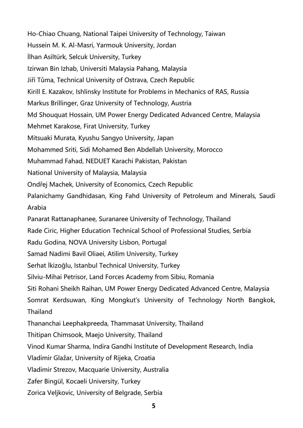Ho-Chiao Chuang, National Taipei University of Technology, Taiwan Hussein M. K. Al-Masri, Yarmouk University, Jordan İlhan Asiltürk, Selcuk University, Turkey Izirwan Bin Izhab, Universiti Malaysia Pahang, Malaysia Jiří Tůma, Technical University of Ostrava, Czech Republic Kirill E. Kazakov, Ishlinsky Institute for Problems in Mechanics of RAS, Russia Markus Brillinger, Graz University of Technology, Austria Md Shouquat Hossain, UM Power Energy Dedicated Advanced Centre, Malaysia Mehmet Karakose, Firat University, Turkey Mitsuaki Murata, Kyushu Sangyo University, Japan Mohammed Sriti, Sidi Mohamed Ben Abdellah University, Morocco Muhammad Fahad, NEDUET Karachi Pakistan, Pakistan National University of Malaysia, Malaysia Ondřej Machek, University of Economics, Czech Republic Palanichamy Gandhidasan, King Fahd University of Petroleum and Minerals, Saudi Arabia Panarat Rattanaphanee, Suranaree University of Technology, Thailand Rade Ciric, Higher Education Technical School of Professional Studies, Serbia Radu Godina, NOVA University Lisbon, Portugal Samad Nadimi Bavil Oliaei, Atilim University, Turkey Serhat İkizoğlu, Istanbul Technical University, Turkey Silviu-Mihai Petrisor, Land Forces Academy from Sibiu, Romania Siti Rohani Sheikh Raihan, UM Power Energy Dedicated Advanced Centre, Malaysia Somrat Kerdsuwan, King Mongkut's University of Technology North Bangkok, Thailand Thananchai Leephakpreeda, Thammasat University, Thailand Thitipan Chimsook, Maejo University, Thailand Vinod Kumar Sharma, Indira Gandhi Institute of Development Research, India Vladimir Glažar, University of Rijeka, Croatia Vladimir Strezov, Macquarie University, Australia Zafer Bingül, Kocaeli University, Turkey Zorica Veljkovic, University of Belgrade, Serbia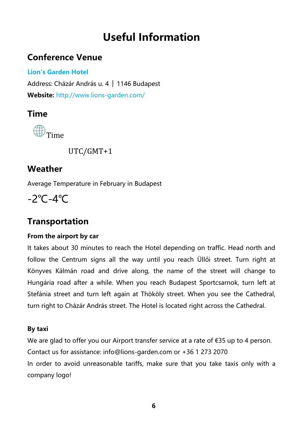# **Useful Information**

### **Conference Venue**

### **Lion's Garden Hotel**

Address: Cházár András u. 4 │ 1146 Budapest **Website:** <http://www.lions-garden.com/>

### **Time**



UTC/GMT+1

### **Weather**

Average Temperature in February in Budapest

-2℃-4℃

### **Transportation**

### **From the airport by car**

It takes about 30 minutes to reach the Hotel depending on traffic. Head north and follow the Centrum signs all the way until you reach Üllői street. Turn right at Könyves Kálmán road and drive along, the name of the street will change to Hungária road after a while. When you reach Budapest Sportcsarnok, turn left at Stefánia street and turn left again at Thököly street. When you see the Cathedral, turn right to Cházár András street. The Hotel is located right across the Cathedral.

### **By taxi**

We are glad to offer you our Airport transfer service at a rate of €35 up to 4 person. Contact us for assistance: info@lions-garden.com or +36 1 273 2070 In order to avoid unreasonable tariffs, make sure that you take taxis only with a company logo!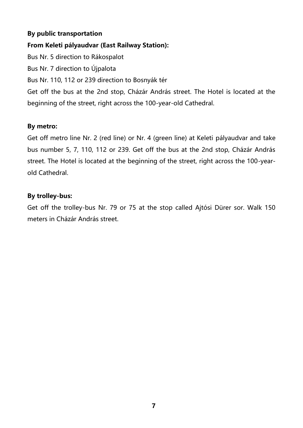#### **By public transportation**

**From Keleti pályaudvar (East Railway Station):**

Bus Nr. 5 direction to Rákospalot

Bus Nr. 7 direction to Újpalota

Bus Nr. 110, 112 or 239 direction to Bosnyák tér

Get off the bus at the 2nd stop, Cházár András street. The Hotel is located at the beginning of the street, right across the 100-year-old Cathedral.

#### **By metro:**

Get off metro line Nr. 2 (red line) or Nr. 4 (green line) at Keleti pályaudvar and take bus number 5, 7, 110, 112 or 239. Get off the bus at the 2nd stop, Cházár András street. The Hotel is located at the beginning of the street, right across the 100-yearold Cathedral.

#### **By trolley-bus:**

Get off the trolley-bus Nr. 79 or 75 at the stop called Ajtósi Dürer sor. Walk 150 meters in Cházár András street.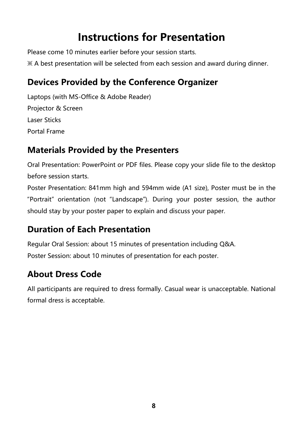# **Instructions for Presentation**

Please come 10 minutes earlier before your session starts.

※ A best presentation will be selected from each session and award during dinner.

## **Devices Provided by the Conference Organizer**

Laptops (with MS-Office & Adobe Reader) Projector & Screen Laser Sticks Portal Frame

## **Materials Provided by the Presenters**

Oral Presentation: PowerPoint or PDF files. Please copy your slide file to the desktop before session starts.

Poster Presentation: 841mm high and 594mm wide (A1 size), Poster must be in the "Portrait" orientation (not "Landscape"). During your poster session, the author should stay by your poster paper to explain and discuss your paper.

## **Duration of Each Presentation**

Regular Oral Session: about 15 minutes of presentation including Q&A.

Poster Session: about 10 minutes of presentation for each poster.

## **About Dress Code**

All participants are required to dress formally. Casual wear is unacceptable. National formal dress is acceptable.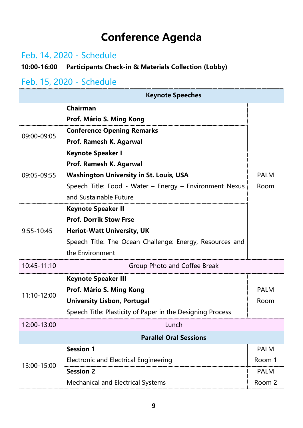# **Conference Agenda**

## Feb. 14, 2020 - Schedule

### **10:00-16:00 Participants Check-in & Materials Collection (Lobby)**

### Feb. 15, 2020 - Schedule

| <b>Keynote Speeches</b>       |                                                            |             |
|-------------------------------|------------------------------------------------------------|-------------|
| <b>Chairman</b>               |                                                            |             |
| Prof. Mário S. Ming Kong      |                                                            |             |
| 09:00-09:05                   | <b>Conference Opening Remarks</b>                          |             |
|                               | Prof. Ramesh K. Agarwal                                    |             |
|                               | <b>Keynote Speaker I</b>                                   |             |
|                               | Prof. Ramesh K. Agarwal                                    |             |
| 09:05-09:55                   | <b>Washington University in St. Louis, USA</b>             | <b>PALM</b> |
|                               | Speech Title: Food - Water - Energy - Environment Nexus    | Room        |
|                               | and Sustainable Future                                     |             |
|                               | <b>Keynote Speaker II</b>                                  |             |
|                               | <b>Prof. Dorrik Stow Frse</b>                              |             |
| $9:55 - 10:45$                | <b>Heriot-Watt University, UK</b>                          |             |
|                               | Speech Title: The Ocean Challenge: Energy, Resources and   |             |
|                               | the Environment                                            |             |
| 10:45-11:10                   | Group Photo and Coffee Break                               |             |
|                               | <b>Keynote Speaker III</b>                                 |             |
| 11:10-12:00                   | Prof. Mário S. Ming Kong                                   | <b>PALM</b> |
|                               | <b>University Lisbon, Portugal</b>                         | Room        |
|                               | Speech Title: Plasticity of Paper in the Designing Process |             |
| 12:00-13:00                   | Lunch                                                      |             |
| <b>Parallel Oral Sessions</b> |                                                            |             |
|                               | <b>Session 1</b>                                           | <b>PALM</b> |
| 13:00-15:00                   | Electronic and Electrical Engineering                      | Room 1      |
|                               | <b>Session 2</b>                                           | <b>PALM</b> |
|                               | <b>Mechanical and Electrical Systems</b>                   | Room 2      |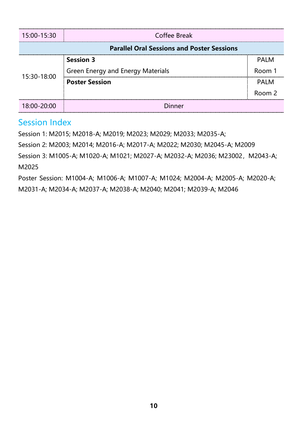| 15:00-15:30                                       | <b>Coffee Break</b>                      |                   |
|---------------------------------------------------|------------------------------------------|-------------------|
| <b>Parallel Oral Sessions and Poster Sessions</b> |                                          |                   |
| 15:30-18:00                                       | <b>Session 3</b>                         | <b>PALM</b>       |
|                                                   | <b>Green Energy and Energy Materials</b> | Room 1            |
|                                                   | <b>Poster Session</b>                    | <b>PALM</b>       |
|                                                   |                                          | Room <sub>2</sub> |
| 18:00-20:00                                       | <b>Dinner</b>                            |                   |

### Session Index

Session 1: M2015; M2018-A; M2019; M2023; M2029; M2033; M2035-A;

Session 2: M2003; M2014; M2016-A; M2017-A; M2022; M2030; M2045-A; M2009

Session 3: M1005-A; M1020-A; M1021; M2027-A; M2032-A; M2036; M23002, M2043-A; M2025

Poster Session: M1004-A; M1006-A; M1007-A; M1024; M2004-A; M2005-A; M2020-A; M2031-A; M2034-A; M2037-A; M2038-A; M2040; M2041; M2039-A; M2046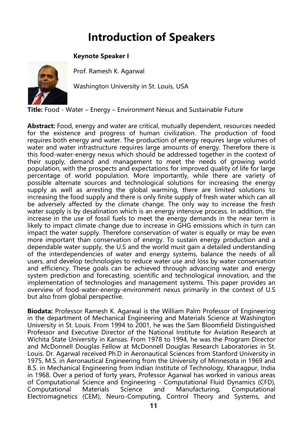# **Introduction of Speakers**

#### **Keynote Speaker I**



Prof. Ramesh K. Agarwal

Washington University in St. Louis, USA

**Title:** Food - Water – Energy – Environment Nexus and Sustainable Future

**Abstract:** Food, energy and water are critical, mutually dependent, resources needed for the existence and progress of human civilization. The production of food requires both energy and water. The production of energy requires large volumes of water and water infrastructure requires large amounts of energy. Therefore there is this food-water-energy nexus which should be addressed together in the context of their supply, demand and management to meet the needs of growing world population, with the prospects and expectations for improved quality of life for large percentage of world population. More importantly, while there are variety of possible alternate sources and technological solutions for increasing the energy supply as well as arresting the global warming, there are limited solutions to increasing the food supply and there is only finite supply of fresh water which can all be adversely affected by the climate change. The only way to increase the fresh water supply is by desalination which is an energy intensive process. In addition, the increase in the use of fossil fuels to meet the energy demands in the near term is likely to impact climate change due to increase in GHG emissions which in turn can impact the water supply. Therefore conservation of water is equally or may be even more important than conservation of energy. To sustain energy production and a dependable water supply, the U.S and the world must gain a detailed understanding of the interdependencies of water and energy systems, balance the needs of all users, and develop technologies to reduce water use and loss by water conservation and efficiency. These goals can be achieved through advancing water and energy system prediction and forecasting, scientific and technological innovation, and the implementation of technologies and management systems. This paper provides an overview of food-water-energy-environment nexus primarily in the context of U.S but also from global perspective.

**Biodata:** Professor Ramesh K. Agarwal is the William Palm Professor of Engineering in the department of Mechanical Engineering and Materials Science at Washington University in St. Louis. From 1994 to 2001, he was the Sam Bloomfield Distinguished Professor and Executive Director of the National Institute for Aviation Research at Wichita State University in Kansas. From 1978 to 1994, he was the Program Director and McDonnell Douglas Fellow at McDonnell Douglas Research Laboratories in St. Louis. Dr. Agarwal received Ph.D in Aeronautical Sciences from Stanford University in 1975, M.S. in Aeronautical Engineering from the University of Minnesota in 1969 and B.S. in Mechanical Engineering from Indian Institute of Technology, Kharagpur, India in 1968. Over a period of forty years, Professor Agarwal has worked in various areas of Computational Science and Engineering - Computational Fluid Dynamics (CFD), Computational Materials Science and Manufacturing, Computational Electromagnetics (CEM), Neuro-Computing, Control Theory and Systems, and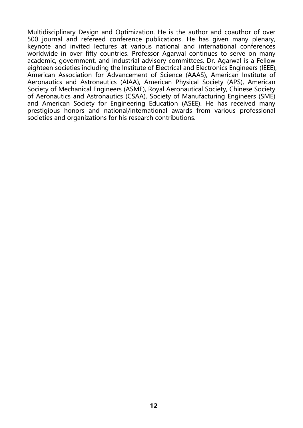Multidisciplinary Design and Optimization. He is the author and coauthor of over 500 journal and refereed conference publications. He has given many plenary, keynote and invited lectures at various national and international conferences worldwide in over fifty countries. Professor Agarwal continues to serve on many academic, government, and industrial advisory committees. Dr. Agarwal is a Fellow eighteen societies including the Institute of Electrical and Electronics Engineers (IEEE), American Association for Advancement of Science (AAAS), American Institute of Aeronautics and Astronautics (AIAA), American Physical Society (APS), American Society of Mechanical Engineers (ASME), Royal Aeronautical Society, Chinese Society of Aeronautics and Astronautics (CSAA), Society of Manufacturing Engineers (SME) and American Society for Engineering Education (ASEE). He has received many prestigious honors and national/international awards from various professional societies and organizations for his research contributions.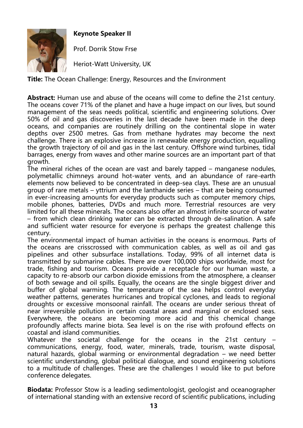

**Keynote Speaker II**

Prof. Dorrik Stow Frse

Heriot-Watt University, UK

**Title:** The Ocean Challenge: Energy, Resources and the Environment

**Abstract:** Human use and abuse of the oceans will come to define the 21st century. The oceans cover 71% of the planet and have a huge impact on our lives, but sound management of the seas needs political, scientific and engineering solutions. Over 50% of oil and gas discoveries in the last decade have been made in the deep oceans, and companies are routinely drilling on the continental slope in water depths over 2500 metres. Gas from methane hydrates may become the next challenge. There is an explosive increase in renewable energy production, equalling the growth trajectory of oil and gas in the last century. Offshore wind turbines, tidal barrages, energy from waves and other marine sources are an important part of that growth.

The mineral riches of the ocean are vast and barely tapped – manganese nodules, polymetallic chimneys around hot-water vents, and an abundance of rare-earth elements now believed to be concentrated in deep-sea clays. These are an unusual group of rare metals – yttrium and the lanthanide series – that are being consumed in ever-increasing amounts for everyday products such as computer memory chips, mobile phones, batteries, DVDs and much more. Terrestrial resources are very limited for all these minerals. The oceans also offer an almost infinite source of water – from which clean drinking water can be extracted through de-salination. A safe and sufficient water resource for everyone is perhaps the greatest challenge this century.

The environmental impact of human activities in the oceans is enormous. Parts of the oceans are crisscrossed with communication cables, as well as oil and gas pipelines and other subsurface installations. Today, 99% of all internet data is transmitted by submarine cables. There are over 100,000 ships worldwide, most for trade, fishing and tourism. Oceans provide a receptacle for our human waste, a capacity to re-absorb our carbon dioxide emissions from the atmosphere, a cleanser of both sewage and oil spills. Equally, the oceans are the single biggest driver and buffer of global warming. The temperature of the sea helps control everyday weather patterns, generates hurricanes and tropical cyclones, and leads to regional droughts or excessive monsoonal rainfall. The oceans are under serious threat of near irreversible pollution in certain coastal areas and marginal or enclosed seas. Everywhere, the oceans are becoming more acid and this chemical change profoundly affects marine biota. Sea level is on the rise with profound effects on coastal and island communities.

Whatever the societal challenge for the oceans in the 21st century – communications, energy, food, water, minerals, trade, tourism, waste disposal, natural hazards, global warming or environmental degradation – we need better scientific understanding, global political dialogue, and sound engineering solutions to a multitude of challenges. These are the challenges I would like to put before conference delegates.

**Biodata:** Professor Stow is a leading sedimentologist, geologist and oceanographer of international standing with an extensive record of scientific publications, including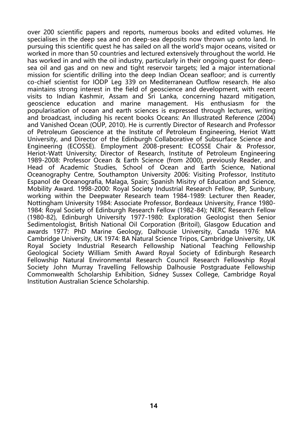over 200 scientific papers and reports, numerous books and edited volumes. He specialises in the deep sea and on deep-sea deposits now thrown up onto land. In pursuing this scientific quest he has sailed on all the world's major oceans, visited or worked in more than 50 countries and lectured extensively throughout the world. He has worked in and with the oil industry, particularly in their ongoing quest for deepsea oil and gas and on new and tight reservoir targets; led a major international mission for scientific drilling into the deep Indian Ocean seafloor; and is currently co-chief scientist for IODP Leg 339 on Mediterranean Outflow research. He also maintains strong interest in the field of geoscience and development, with recent visits to Indian Kashmir, Assam and Sri Lanka, concerning hazard mitigation, geoscience education and marine management. His enthusiasm for the popularisation of ocean and earth sciences is expressed through lectures, writing and broadcast, including his recent books Oceans: An Illustrated Reference (2004) and Vanished Ocean (OUP, 2010). He is currently Director of Research and Professor of Petroleum Geoscience at the Institute of Petroleum Engineering, Heriot Watt University, and Director of the Edinburgh Collaborative of Subsurface Science and Engineering (ECOSSE). Employment 2008-present: ECOSSE Chair & Professor, Heriot-Watt University; Director of Research, Institute of Petroleum Engineering 1989-2008: Professor Ocean & Earth Science (from 2000), previously Reader, and Head of Academic Studies, School of Ocean and Earth Science, National Oceanography Centre, Southampton University 2006: Visiting Professor, Instituto Espanol de Oceanografia, Malaga, Spain; Spanish Misitry of Education and Science, Mobility Award. 1998-2000: Royal Society Industrial Research Fellow, BP, Sunbury; working within the Deepwater Research team 1984-1989: Lecturer then Reader, Nottingham University 1984: Associate Professor, Bordeaux University, France 1980- 1984: Royal Society of Edinburgh Research Fellow (1982-84); NERC Research Fellow (1980-82), Edinburgh University 1977-1980: Exploration Geologist then Senior Sedimentologist, British National Oil Corporation (Britoil), Glasgow Education and awards 1977: PhD Marine Geology, Dalhousie University, Canada 1976: MA Cambridge University, UK 1974: BA Natural Science Tripos, Cambridge University, UK Royal Society Industrial Research Fellowship National Teaching Fellowship Geological Society William Smith Award Royal Society of Edinburgh Research Fellowship Natural Environmental Research Council Research Fellowship Royal Society John Murray Travelling Fellowship Dalhousie Postgraduate Fellowship Commonwealth Scholarship Exhibition, Sidney Sussex College, Cambridge Royal Institution Australian Science Scholarship.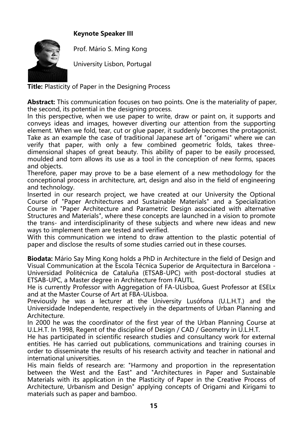#### **Keynote Speaker III**



Prof. Mário S. Ming Kong

University Lisbon, Portugal

**Title:** Plasticity of Paper in the Designing Process

**Abstract:** This communication focuses on two points. One is the materiality of paper, the second, its potential in the designing process.

In this perspective, when we use paper to write, draw or paint on, it supports and conveys ideas and images, however diverting our attention from the supporting element. When we fold, tear, cut or glue paper, it suddenly becomes the protagonist. Take as an example the case of traditional Japanese art of "origami" where we can verify that paper, with only a few combined geometric folds, takes threedimensional shapes of great beauty. This ability of paper to be easily processed, moulded and torn allows its use as a tool in the conception of new forms, spaces and objects.

Therefore, paper may prove to be a base element of a new methodology for the conceptional process in architecture, art, design and also in the field of engineering and technology.

Inserted in our research project, we have created at our University the Optional Course of "Paper Architectures and Sustainable Materials" and a Specialization Course in "Paper Architecture and Parametric Design associated with alternative Structures and Materials", where these concepts are launched in a vision to promote the trans- and interdisciplinarity of these subjects and where new ideas and new ways to implement them are tested and verified.

With this communication we intend to draw attention to the plastic potential of paper and disclose the results of some studies carried out in these courses.

**Biodata:** Mário Say Ming Kong holds a PhD in Architecture in the field of Design and Visual Communication at the Escola Técnica Superior de Arquitectura in Barcelona - Universidad Politécnica de Cataluña (ETSAB-UPC) with post-doctoral studies at ETSAB-UPC, a Master degree in Architecture from FAUTL.

He is currently Professor with Aggregation of FA-ULisboa, Guest Professor at ESELx and at the Master Course of Art at FBA-ULisboa.

Previously he was a lecturer at the University Lusófona (U.L.H.T.) and the Universidade Independente, respectively in the departments of Urban Planning and Architecture.

In 2000 he was the coordinator of the first year of the Urban Planning Course at U.L.H.T. In 1998, Regent of the discipline of Design / CAD / Geometry in U.L.H.T.

He has participated in scientific research studies and consultancy work for external entities. He has carried out publications, communications and training courses in order to disseminate the results of his research activity and teacher in national and international universities.

His main fields of research are: "Harmony and proportion in the representation between the West and the East" and "Architectures in Paper and Sustainable Materials with its application in the Plasticity of Paper in the Creative Process of Architecture, Urbanism and Design" applying concepts of Origami and Kirigami to materials such as paper and bamboo.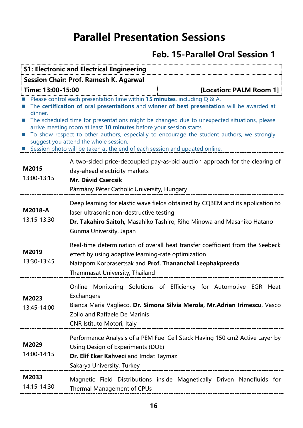# **Parallel Presentation Sessions**

## **Feb. 15-Parallel Oral Session 1**

| <b>S1: Electronic and Electrical Engineering</b> |                                                                                                                                                                                                                                                                                                                                                                                                                                                                                                                                                                   |  |
|--------------------------------------------------|-------------------------------------------------------------------------------------------------------------------------------------------------------------------------------------------------------------------------------------------------------------------------------------------------------------------------------------------------------------------------------------------------------------------------------------------------------------------------------------------------------------------------------------------------------------------|--|
| <b>Session Chair: Prof. Ramesh K. Agarwal</b>    |                                                                                                                                                                                                                                                                                                                                                                                                                                                                                                                                                                   |  |
| Time: 13:00-15:00                                | [Location: PALM Room 1]                                                                                                                                                                                                                                                                                                                                                                                                                                                                                                                                           |  |
| dinner.<br>$\mathbb{R}^n$                        | Please control each presentation time within 15 minutes, including Q & A.<br>The certification of oral presentations and winner of best presentation will be awarded at<br>The scheduled time for presentations might be changed due to unexpected situations, please<br>arrive meeting room at least 10 minutes before your session starts.<br>To show respect to other authors, especially to encourage the student authors, we strongly<br>suggest you attend the whole session.<br>Session photo will be taken at the end of each session and updated online. |  |
| M2015<br>13:00-13:15                             | A two-sided price-decoupled pay-as-bid auction approach for the clearing of<br>day-ahead electricity markets<br><b>Mr. Dávid Csercsik</b><br>Pázmány Péter Catholic University, Hungary                                                                                                                                                                                                                                                                                                                                                                           |  |
| M2018-A<br>13:15-13:30                           | Deep learning for elastic wave fields obtained by CQBEM and its application to<br>laser ultrasonic non-destructive testing<br>Dr. Takahiro Saitoh, Masahiko Tashiro, Riho Minowa and Masahiko Hatano<br>Gunma University, Japan                                                                                                                                                                                                                                                                                                                                   |  |
| M2019<br>13:30-13:45                             | Real-time determination of overall heat transfer coefficient from the Seebeck<br>effect by using adaptive learning-rate optimization<br>Nataporn Korprasertsak and Prof. Thananchai Leephakpreeda<br>Thammasat University, Thailand                                                                                                                                                                                                                                                                                                                               |  |
| M2023<br>13:45-14:00                             | Monitoring Solutions of Efficiency for Automotive EGR Heat<br>Online<br>Exchangers<br>Bianca Maria Vaglieco, Dr. Simona Silvia Merola, Mr.Adrian Irimescu, Vasco<br>Zollo and Raffaele De Marinis<br><b>CNR Istituto Motori, Italy</b>                                                                                                                                                                                                                                                                                                                            |  |
| M2029<br>14:00-14:15                             | Performance Analysis of a PEM Fuel Cell Stack Having 150 cm2 Active Layer by<br>Using Design of Experiments (DOE)<br>Dr. Elif Eker Kahveci and Imdat Taymaz<br>Sakarya University, Turkey                                                                                                                                                                                                                                                                                                                                                                         |  |
| M2033<br>14:15-14:30                             | Magnetic Field Distributions inside Magnetically Driven Nanofluids for<br><b>Thermal Management of CPUs</b>                                                                                                                                                                                                                                                                                                                                                                                                                                                       |  |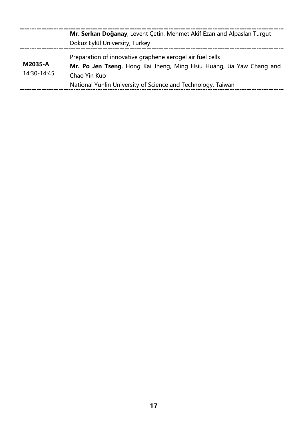|                        | Mr. Serkan Doğanay, Levent Çetin, Mehmet Akif Ezan and Alpaslan Turgut<br>Dokuz Eylül University, Turkey                                                                                                          |
|------------------------|-------------------------------------------------------------------------------------------------------------------------------------------------------------------------------------------------------------------|
| M2035-A<br>14:30-14:45 | Preparation of innovative graphene aerogel air fuel cells<br>Mr. Po Jen Tseng, Hong Kai Jheng, Ming Hsiu Huang, Jia Yaw Chang and<br>Chao Yin Kuo<br>National Yunlin University of Science and Technology, Taiwan |
|                        |                                                                                                                                                                                                                   |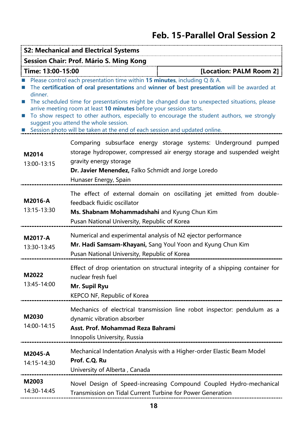## **Feb. 15-Parallel Oral Session 2**

| <b>S2: Mechanical and Electrical Systems</b> |                                                                                                                                                                                                                                                                                                                                                                                                                                                                                                                                                                   |  |
|----------------------------------------------|-------------------------------------------------------------------------------------------------------------------------------------------------------------------------------------------------------------------------------------------------------------------------------------------------------------------------------------------------------------------------------------------------------------------------------------------------------------------------------------------------------------------------------------------------------------------|--|
| Session Chair: Prof. Mário S. Ming Kong      |                                                                                                                                                                                                                                                                                                                                                                                                                                                                                                                                                                   |  |
| [Location: PALM Room 2]<br>Time: 13:00-15:00 |                                                                                                                                                                                                                                                                                                                                                                                                                                                                                                                                                                   |  |
| dinner.<br>ш<br>L.                           | Please control each presentation time within 15 minutes, including Q & A.<br>The certification of oral presentations and winner of best presentation will be awarded at<br>The scheduled time for presentations might be changed due to unexpected situations, please<br>arrive meeting room at least 10 minutes before your session starts.<br>To show respect to other authors, especially to encourage the student authors, we strongly<br>suggest you attend the whole session.<br>Session photo will be taken at the end of each session and updated online. |  |
| M2014<br>13:00-13:15                         | Comparing subsurface energy storage systems: Underground pumped<br>storage hydropower, compressed air energy storage and suspended weight<br>gravity energy storage<br>Dr. Javier Menendez, Falko Schmidt and Jorge Loredo<br>Hunaser Energy, Spain                                                                                                                                                                                                                                                                                                               |  |
| M2016-A<br>13:15-13:30                       | The effect of external domain on oscillating jet emitted from double-<br>feedback fluidic oscillator<br>Ms. Shabnam Mohammadshahi and Kyung Chun Kim<br>Pusan National University, Republic of Korea                                                                                                                                                                                                                                                                                                                                                              |  |
| M2017-A<br>13:30-13:45                       | Numerical and experimental analysis of N2 ejector performance<br>Mr. Hadi Samsam-Khayani, Sang Youl Yoon and Kyung Chun Kim<br>Pusan National University, Republic of Korea                                                                                                                                                                                                                                                                                                                                                                                       |  |
| M2022<br>13:45-14:00                         | Effect of drop orientation on structural integrity of a shipping container for<br>nuclear fresh fuel<br>Mr. Supil Ryu<br>KEPCO NF, Republic of Korea<br>--------------------------------------                                                                                                                                                                                                                                                                                                                                                                    |  |
| M2030<br>14:00-14:15                         | Mechanics of electrical transmission line robot inspector: pendulum as a<br>dynamic vibration absorber<br>Asst. Prof. Mohammad Reza Bahrami<br>Innopolis University, Russia                                                                                                                                                                                                                                                                                                                                                                                       |  |
| M2045-A<br>14:15-14:30                       | Mechanical Indentation Analysis with a Higher-order Elastic Beam Model<br>Prof. C.Q. Ru<br>University of Alberta, Canada                                                                                                                                                                                                                                                                                                                                                                                                                                          |  |
| M2003<br>14:30-14:45                         | Novel Design of Speed-increasing Compound Coupled Hydro-mechanical<br>Transmission on Tidal Current Turbine for Power Generation                                                                                                                                                                                                                                                                                                                                                                                                                                  |  |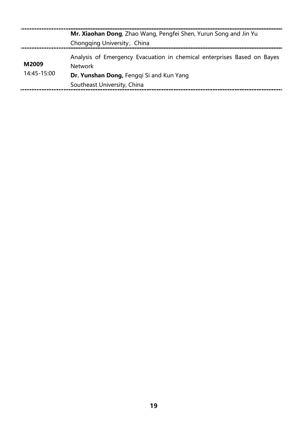|                      | Mr. Xiaohan Dong, Zhao Wang, Pengfei Shen, Yurun Song and Jin Yu<br>Chongqing University, China                                                                      |
|----------------------|----------------------------------------------------------------------------------------------------------------------------------------------------------------------|
| M2009<br>14:45-15:00 | Analysis of Emergency Evacuation in chemical enterprises Based on Bayes<br><b>Network</b><br>Dr. Yunshan Dong, Fenggi Si and Kun Yang<br>Southeast University, China |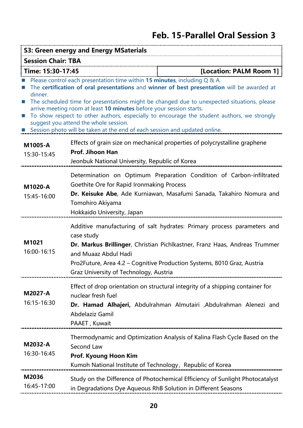## **Feb. 15-Parallel Oral Session 3**

| S3: Green energy and Energy MSaterials       |                                                                                                                                                                                                                                                                                                                                                                                                                                                                                                                                                                   |  |
|----------------------------------------------|-------------------------------------------------------------------------------------------------------------------------------------------------------------------------------------------------------------------------------------------------------------------------------------------------------------------------------------------------------------------------------------------------------------------------------------------------------------------------------------------------------------------------------------------------------------------|--|
| <b>Session Chair: TBA</b>                    |                                                                                                                                                                                                                                                                                                                                                                                                                                                                                                                                                                   |  |
| [Location: PALM Room 1]<br>Time: 15:30-17:45 |                                                                                                                                                                                                                                                                                                                                                                                                                                                                                                                                                                   |  |
| dinner.<br>$\mathcal{C}$<br>ш                | Please control each presentation time within 15 minutes, including Q & A.<br>The certification of oral presentations and winner of best presentation will be awarded at<br>The scheduled time for presentations might be changed due to unexpected situations, please<br>arrive meeting room at least 10 minutes before your session starts.<br>To show respect to other authors, especially to encourage the student authors, we strongly<br>suggest you attend the whole session.<br>Session photo will be taken at the end of each session and updated online. |  |
| M1005-A<br>15:30-15:45                       | Effects of grain size on mechanical properties of polycrystalline graphene<br>Prof. Jihoon Han<br>Jeonbuk National University, Republic of Korea                                                                                                                                                                                                                                                                                                                                                                                                                  |  |
| M1020-A<br>15:45-16:00                       | Determination on Optimum Preparation Condition of Carbon-infiltrated<br>Goethite Ore for Rapid Ironmaking Process<br>Dr. Keisuke Abe, Ade Kurniawan, Masafumi Sanada, Takahiro Nomura and<br>Tomohiro Akiyama<br>Hokkaido University, Japan                                                                                                                                                                                                                                                                                                                       |  |
| M1021<br>16:00-16:15                         | Additive manufacturing of salt hydrates: Primary process parameters and<br>case study<br>Dr. Markus Brillinger, Christian Pichlkastner, Franz Haas, Andreas Trummer<br>and Muaaz Abdul Hadi<br>Pro2Future, Area 4.2 – Cognitive Production Systems, 8010 Graz, Austria<br>Graz University of Technology, Austria                                                                                                                                                                                                                                                  |  |
| M2027-A<br>16:15-16:30                       | Effect of drop orientation on structural integrity of a shipping container for<br>nuclear fresh fuel<br>Dr. Hamad Alhajeri, Abdulrahman Almutairi ,Abdulrahman Alenezi and<br>Abdelaziz Gamil<br>PAAET, Kuwait                                                                                                                                                                                                                                                                                                                                                    |  |
| M2032-A<br>16:30-16:45                       | Thermodynamic and Optimization Analysis of Kalina Flash Cycle Based on the<br>Second Law<br>Prof. Kyoung Hoon Kim<br>Kumoh National Institute of Technology, Republic of Korea                                                                                                                                                                                                                                                                                                                                                                                    |  |
| M2036<br>16:45-17:00                         | Study on the Difference of Photochemical Efficiency of Sunlight Photocatalyst<br>in Degradations Dye Aqueous RhB Solution in Different Seasons                                                                                                                                                                                                                                                                                                                                                                                                                    |  |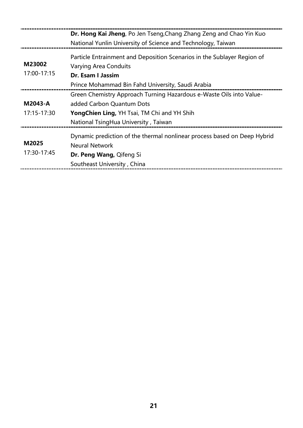|                        | Dr. Hong Kai Jheng, Po Jen Tseng, Chang Zhang Zeng and Chao Yin Kuo<br>National Yunlin University of Science and Technology, Taiwan                                                      |
|------------------------|------------------------------------------------------------------------------------------------------------------------------------------------------------------------------------------|
| M23002<br>17:00-17:15  | Particle Entrainment and Deposition Scenarios in the Sublayer Region of<br><b>Varying Area Conduits</b><br>Dr. Esam I Jassim<br>Prince Mohammad Bin Fahd University, Saudi Arabia        |
| M2043-A<br>17:15-17:30 | Green Chemistry Approach Turning Hazardous e-Waste Oils into Value-<br>added Carbon Quantum Dots<br>Yong Chien Ling, YH Tsai, TM Chi and YH Shih<br>National TsingHua University, Taiwan |
| M2025<br>17:30-17:45   | Dynamic prediction of the thermal nonlinear process based on Deep Hybrid<br><b>Neural Network</b><br>Dr. Peng Wang, Qifeng Si<br>Southeast University, China                             |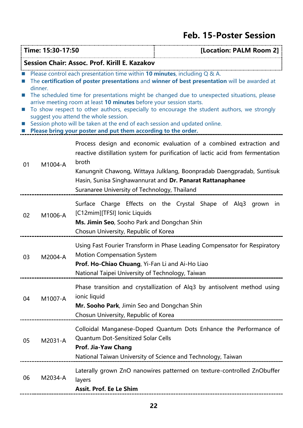## **Feb. 15-Poster Session**

|                                                                                                                                                                                                                                                                                                                                                                                                                                                                                                                                                                                                                                                      | Time: 15:30-17:50<br>[Location: PALM Room 2]  |                                                                                                                                          |                                                                                                                                                                                                                                                                                              |
|------------------------------------------------------------------------------------------------------------------------------------------------------------------------------------------------------------------------------------------------------------------------------------------------------------------------------------------------------------------------------------------------------------------------------------------------------------------------------------------------------------------------------------------------------------------------------------------------------------------------------------------------------|-----------------------------------------------|------------------------------------------------------------------------------------------------------------------------------------------|----------------------------------------------------------------------------------------------------------------------------------------------------------------------------------------------------------------------------------------------------------------------------------------------|
|                                                                                                                                                                                                                                                                                                                                                                                                                                                                                                                                                                                                                                                      | Session Chair: Assoc. Prof. Kirill E. Kazakov |                                                                                                                                          |                                                                                                                                                                                                                                                                                              |
| Please control each presentation time within 10 minutes, including Q & A.<br>The certification of poster presentations and winner of best presentation will be awarded at<br>dinner.<br>The scheduled time for presentations might be changed due to unexpected situations, please<br>arrive meeting room at least 10 minutes before your session starts.<br>To show respect to other authors, especially to encourage the student authors, we strongly<br>ш<br>suggest you attend the whole session.<br>Session photo will be taken at the end of each session and updated online.<br>Please bring your poster and put them according to the order. |                                               |                                                                                                                                          |                                                                                                                                                                                                                                                                                              |
| 01                                                                                                                                                                                                                                                                                                                                                                                                                                                                                                                                                                                                                                                   | M1004-A                                       | broth<br>Suranaree University of Technology, Thailand                                                                                    | Process design and economic evaluation of a combined extraction and<br>reactive distillation system for purification of lactic acid from fermentation<br>Kanungnit Chawong, Wittaya Julklang, Boonpradab Daengpradab, Suntisuk<br>Hasin, Sunisa Singhawannurat and Dr. Panarat Rattanaphanee |
| 02                                                                                                                                                                                                                                                                                                                                                                                                                                                                                                                                                                                                                                                   | M1006-A                                       | [C12mim][TFSI] Ionic Liquids<br>Ms. Jimin Seo, Sooho Park and Dongchan Shin<br>Chosun University, Republic of Korea                      | Surface Charge Effects on the Crystal Shape of Alq3 grown in                                                                                                                                                                                                                                 |
| 03                                                                                                                                                                                                                                                                                                                                                                                                                                                                                                                                                                                                                                                   | M2004-A                                       | <b>Motion Compensation System</b><br>Prof. Ho-Chiao Chuang, Yi-Fan Li and Ai-Ho Liao<br>National Taipei University of Technology, Taiwan | Using Fast Fourier Transform in Phase Leading Compensator for Respiratory                                                                                                                                                                                                                    |
| 04                                                                                                                                                                                                                                                                                                                                                                                                                                                                                                                                                                                                                                                   | M1007-A                                       | ionic liquid<br>Mr. Sooho Park, Jimin Seo and Dongchan Shin<br>Chosun University, Republic of Korea                                      | Phase transition and crystallization of Alq3 by antisolvent method using                                                                                                                                                                                                                     |
| 05                                                                                                                                                                                                                                                                                                                                                                                                                                                                                                                                                                                                                                                   | M2031-A                                       | <b>Quantum Dot-Sensitized Solar Cells</b><br>Prof. Jia-Yaw Chang                                                                         | Colloidal Manganese-Doped Quantum Dots Enhance the Performance of<br>National Taiwan University of Science and Technology, Taiwan                                                                                                                                                            |
| 06                                                                                                                                                                                                                                                                                                                                                                                                                                                                                                                                                                                                                                                   | M2034-A                                       | layers<br>Assit. Prof. Ee Le Shim                                                                                                        | Laterally grown ZnO nanowires patterned on texture-controlled ZnObuffer                                                                                                                                                                                                                      |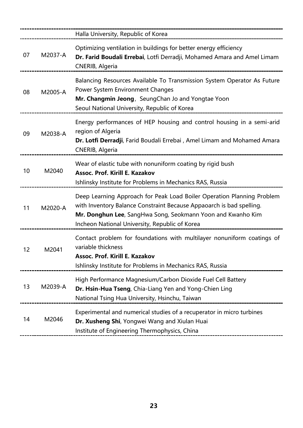|    |         | Halla University, Republic of Korea                                                                                                                                                                                                                             |
|----|---------|-----------------------------------------------------------------------------------------------------------------------------------------------------------------------------------------------------------------------------------------------------------------|
| 07 | M2037-A | Optimizing ventilation in buildings for better energy efficiency<br>Dr. Farid Boudali Errebai, Lotfi Derradji, Mohamed Amara and Amel Limam<br>CNERIB, Algeria                                                                                                  |
| 08 | M2005-A | Balancing Resources Available To Transmission System Operator As Future<br><b>Power System Environment Changes</b><br>Mr. Changmin Jeong, SeungChan Jo and Yongtae Yoon<br>Seoul National University, Republic of Korea                                         |
| 09 | M2038-A | Energy performances of HEP housing and control housing in a semi-arid<br>region of Algeria<br>Dr. Lotfi Derradji, Farid Boudali Errebai, Amel Limam and Mohamed Amara<br>CNERIB, Algeria                                                                        |
| 10 | M2040   | Wear of elastic tube with nonuniform coating by rigid bush<br>Assoc. Prof. Kirill E. Kazakov<br>Ishlinsky Institute for Problems in Mechanics RAS, Russia                                                                                                       |
| 11 | M2020-A | Deep Learning Approach for Peak Load Boiler Operation Planning Problem<br>with Inventory Balance Constraint Because Appaoarch is bad spelling.<br>Mr. Donghun Lee, SangHwa Song, Seokmann Yoon and Kwanho Kim<br>Incheon National University, Republic of Korea |
| 12 | M2041   | Contact problem for foundations with multilayer nonuniform coatings of<br>variable thickness<br>Assoc. Prof. Kirill E. Kazakov<br>Ishlinsky Institute for Problems in Mechanics RAS, Russia                                                                     |
| 13 | M2039-A | High Performance Magnesium/Carbon Dioxide Fuel Cell Battery<br>Dr. Hsin-Hua Tseng, Chia-Liang Yen and Yong-Chien Ling<br>National Tsing Hua University, Hsinchu, Taiwan                                                                                         |
| 14 | M2046   | Experimental and numerical studies of a recuperator in micro turbines<br>Dr. Xusheng Shi, Yongwei Wang and Xiulan Huai<br>Institute of Engineering Thermophysics, China                                                                                         |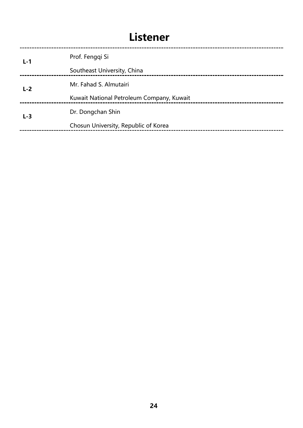# **Listener**

| $L-1$ | Prof. Fenggi Si                           |
|-------|-------------------------------------------|
|       | Southeast University, China               |
| $L-2$ | Mr. Fahad S. Almutairi                    |
|       | Kuwait National Petroleum Company, Kuwait |
| $L-3$ | Dr. Dongchan Shin                         |
|       | Chosun University, Republic of Korea      |